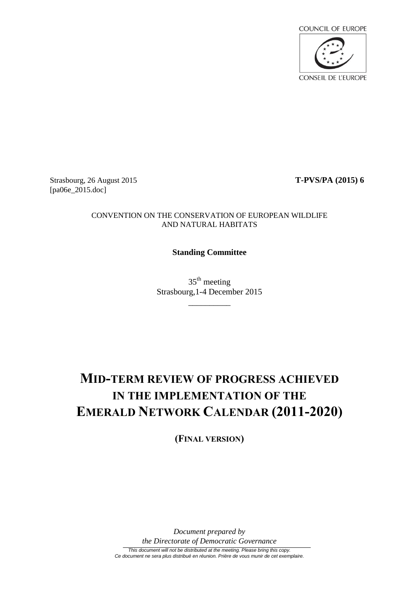

Strasbourg, 26 August 2015 **T-PVS/PA (2015) 6** [pa06e\_2015.doc]

#### CONVENTION ON THE CONSERVATION OF EUROPEAN WILDLIFE AND NATURAL HABITATS

#### **Standing Committee**

35<sup>th</sup> meeting Strasbourg,1-4 December 2015

 $\overline{\phantom{a}}$  , where  $\overline{\phantom{a}}$ 

# **MID-TERM REVIEW OF PROGRESS ACHIEVED IN THE IMPLEMENTATION OF THE EMERALD NETWORK CALENDAR (2011-2020)**

**(FINAL VERSION)**

*Document prepared by the Directorate of Democratic Governance*

*This document will not be distributed at the meeting. Please bring this copy. Ce document ne sera plus distribué en réunion. Prière de vous munir de cet exemplaire.*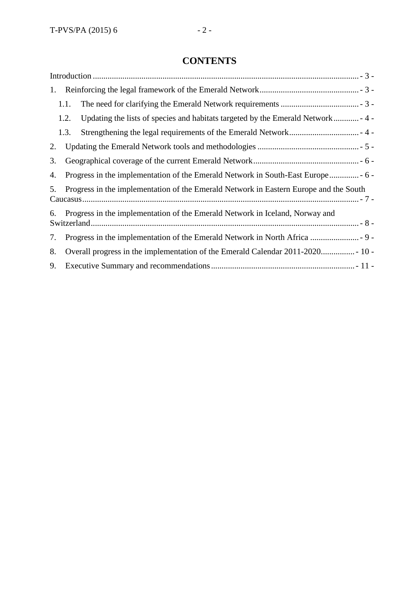## **CONTENTS**

<span id="page-1-0"></span>

| 1. |                                                                                       |  |  |  |  |  |
|----|---------------------------------------------------------------------------------------|--|--|--|--|--|
|    | 1.1.                                                                                  |  |  |  |  |  |
|    | 1.2.                                                                                  |  |  |  |  |  |
|    | 1.3.                                                                                  |  |  |  |  |  |
| 2. |                                                                                       |  |  |  |  |  |
| 3. |                                                                                       |  |  |  |  |  |
| 4. |                                                                                       |  |  |  |  |  |
| 5. | Progress in the implementation of the Emerald Network in Eastern Europe and the South |  |  |  |  |  |
| 6. | Progress in the implementation of the Emerald Network in Iceland, Norway and          |  |  |  |  |  |
| 7. |                                                                                       |  |  |  |  |  |
| 8. |                                                                                       |  |  |  |  |  |
| 9. |                                                                                       |  |  |  |  |  |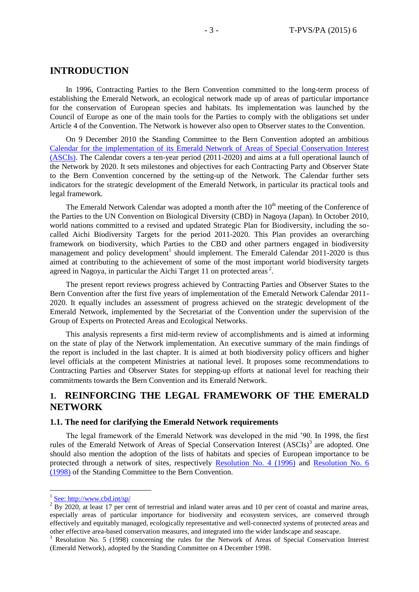#### **INTRODUCTION**

In 1996, Contracting Parties to the Bern Convention committed to the long-term process of establishing the Emerald Network, an ecological network made up of areas of particular importance for the conservation of European species and habitats. Its implementation was launched by the Council of Europe as one of the main tools for the Parties to comply with the obligations set under Article 4 of the Convention. The Network is however also open to Observer states to the Convention.

On 9 December 2010 the Standing Committee to the Bern Convention adopted an ambitious [Calendar for the implementation of its Emerald Network of Areas of Special Conservation Interest](https://wcd.coe.int/ViewDoc.jsp?Ref=T-PVS/PA(2010)08&Language=lanEnglish&Ver=rev&Site=DG4-Nature&BackColorInternet=DBDCF2&BackColorIntranet=FDC864&BackColorLogged=FDC864)  [\(ASCIs\).](https://wcd.coe.int/ViewDoc.jsp?Ref=T-PVS/PA(2010)08&Language=lanEnglish&Ver=rev&Site=DG4-Nature&BackColorInternet=DBDCF2&BackColorIntranet=FDC864&BackColorLogged=FDC864) The Calendar covers a ten-year period (2011-2020) and aims at a full operational launch of the Network by 2020. It sets milestones and objectives for each Contracting Party and Observer State to the Bern Convention concerned by the setting-up of the Network. The Calendar further sets indicators for the strategic development of the Emerald Network, in particular its practical tools and legal framework.

The Emerald Network Calendar was adopted a month after the 10<sup>th</sup> meeting of the Conference of the Parties to the UN Convention on Biological Diversity (CBD) in Nagoya (Japan). In October 2010, world nations committed to a revised and updated Strategic Plan for Biodiversity, including the socalled Aichi Biodiversity Targets for the period 2011-2020. This Plan provides an overarching framework on biodiversity, which Parties to the CBD and other partners engaged in biodiversity management and policy development<sup>1</sup> should implement. The Emerald Calendar 2011-2020 is thus aimed at contributing to the achievement of some of the most important world biodiversity targets agreed in Nagoya, in particular the Aichi Target 11 on protected areas<sup>2</sup>.

The present report reviews progress achieved by Contracting Parties and Observer States to the Bern Convention after the first five years of implementation of the Emerald Network Calendar 2011- 2020. It equally includes an assessment of progress achieved on the strategic development of the Emerald Network, implemented by the Secretariat of the Convention under the supervision of the Group of Experts on Protected Areas and Ecological Networks.

This analysis represents a first mid-term review of accomplishments and is aimed at informing on the state of play of the Network implementation. An executive summary of the main findings of the report is included in the last chapter. It is aimed at both biodiversity policy officers and higher level officials at the competent Ministries at national level. It proposes some recommendations to Contracting Parties and Observer States for stepping-up efforts at national level for reaching their commitments towards the Bern Convention and its Emerald Network.

#### <span id="page-2-0"></span>**1. REINFORCING THE LEGAL FRAMEWORK OF THE EMERALD NETWORK**

#### <span id="page-2-1"></span>**1.1. The need for clarifying the Emerald Network requirements**

The legal framework of the Emerald Network was developed in the mid '90. In 1998, the first rules of the Emerald Network of Areas of Special Conservation Interest (ASCIs)<sup>3</sup> are adopted. One should also mention the adoption of the lists of habitats and species of European importance to be protected through a network of sites, respectively [Resolution No. 4 \(1996\)](https://wcd.coe.int/ViewDoc.jsp?id=1475213&Site=&BackColorInternet=B9BDEE&BackColorIntranet=FFCD4F&BackColorLogged=FFC679) and [Resolution No. 6](https://wcd.coe.int/ViewDoc.jsp?id=1475233&Site=&BackColorInternet=B9BDEE&BackColorIntranet=FFCD4F&BackColorLogged=FFC679)  [\(1998\)](https://wcd.coe.int/ViewDoc.jsp?id=1475233&Site=&BackColorInternet=B9BDEE&BackColorIntranet=FFCD4F&BackColorLogged=FFC679) of the Standing Committee to the Bern Convention.

 $\overline{a}$ 

<sup>&</sup>lt;sup>1</sup> See:<http://www.cbd.int/sp/>

 $2$  By 2020, at least 17 per cent of terrestrial and inland water areas and 10 per cent of coastal and marine areas, especially areas of particular importance for biodiversity and ecosystem services, are conserved through effectively and equitably managed, ecologically representative and well-connected systems of protected areas and other effective area-based conservation measures, and integrated into the wider landscape and seascape.

<sup>3</sup> Resolution No. 5 (1998) concerning the rules for the Network of Areas of Special Conservation Interest (Emerald Network), adopted by the Standing Committee on 4 December 1998.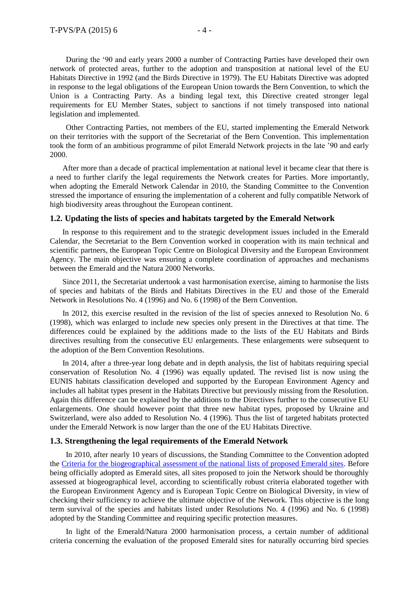During the '90 and early years 2000 a number of Contracting Parties have developed their own network of protected areas, further to the adoption and transposition at national level of the EU Habitats Directive in 1992 (and the Birds Directive in 1979). The EU Habitats Directive was adopted in response to the legal obligations of the European Union towards the Bern Convention, to which the Union is a Contracting Party. As a binding legal text, this Directive created stronger legal requirements for EU Member States, subject to sanctions if not timely transposed into national legislation and implemented.

Other Contracting Parties, not members of the EU, started implementing the Emerald Network on their territories with the support of the Secretariat of the Bern Convention. This implementation took the form of an ambitious programme of pilot Emerald Network projects in the late '90 and early 2000.

After more than a decade of practical implementation at national level it became clear that there is a need to further clarify the legal requirements the Network creates for Parties. More importantly, when adopting the Emerald Network Calendar in 2010, the Standing Committee to the Convention stressed the importance of ensuring the implementation of a coherent and fully compatible Network of high biodiversity areas throughout the European continent.

#### <span id="page-3-0"></span>**1.2. Updating the lists of species and habitats targeted by the Emerald Network**

In response to this requirement and to the strategic development issues included in the Emerald Calendar, the Secretariat to the Bern Convention worked in cooperation with its main technical and scientific partners, the European Topic Centre on Biological Diversity and the European Environment Agency. The main objective was ensuring a complete coordination of approaches and mechanisms between the Emerald and the Natura 2000 Networks.

Since 2011, the Secretariat undertook a vast harmonisation exercise, aiming to harmonise the lists of species and habitats of the Birds and Habitats Directives in the EU and those of the Emerald Network in Resolutions No. 4 (1996) and No. 6 (1998) of the Bern Convention.

In 2012, this exercise resulted in the revision of the list of species annexed to Resolution No. 6 (1998), which was enlarged to include new species only present in the Directives at that time. The differences could be explained by the additions made to the lists of the EU Habitats and Birds directives resulting from the consecutive EU enlargements. These enlargements were subsequent to the adoption of the Bern Convention Resolutions.

In 2014, after a three-year long debate and in depth analysis, the list of habitats requiring special conservation of Resolution No. 4 (1996) was equally updated. The revised list is now using the EUNIS habitats classification developed and supported by the European Environment Agency and includes all habitat types present in the Habitats Directive but previously missing from the Resolution. Again this difference can be explained by the additions to the Directives further to the consecutive EU enlargements. One should however point that three new habitat types, proposed by Ukraine and Switzerland, were also added to Resolution No. 4 (1996). Thus the list of targeted habitats protected under the Emerald Network is now larger than the one of the EU Habitats Directive.

#### <span id="page-3-1"></span>**1.3. Strengthening the legal requirements of the Emerald Network**

In 2010, after nearly 10 years of discussions, the Standing Committee to the Convention adopted the [Criteria for the biogeographical assessment of the national lists of proposed Emerald sites.](https://wcd.coe.int/ViewDoc.jsp?id=2119661&Site=&BackColorInternet=B9BDEE&BackColorIntranet=FFCD4F&BackColorLogged=FFC679) Before being officially adopted as Emerald sites, all sites proposed to join the Network should be thoroughly assessed at biogeographical level, according to scientifically robust criteria elaborated together with the European Environment Agency and is European Topic Centre on Biological Diversity, in view of checking their sufficiency to achieve the ultimate objective of the Network. This objective is the long term survival of the species and habitats listed under Resolutions No. 4 (1996) and No. 6 (1998) adopted by the Standing Committee and requiring specific protection measures.

In light of the Emerald/Natura 2000 harmonisation process, a certain number of additional criteria concerning the evaluation of the proposed Emerald sites for naturally occurring bird species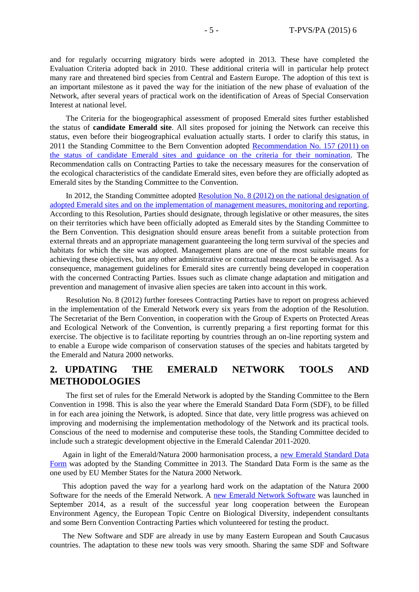and for regularly occurring migratory birds were adopted in 2013. These have completed the Evaluation Criteria adopted back in 2010. These additional criteria will in particular help protect many rare and threatened bird species from Central and Eastern Europe. The adoption of this text is an important milestone as it paved the way for the initiation of the new phase of evaluation of the Network, after several years of practical work on the identification of Areas of Special Conservation Interest at national level.

The Criteria for the biogeographical assessment of proposed Emerald sites further established the status of **candidate Emerald site**. All sites proposed for joining the Network can receive this status, even before their biogeographical evaluation actually starts. I order to clarify this status, in 2011 the Standing Committee to the Bern Convention adopted [Recommendation No. 157 \(2011\) on](https://wcd.coe.int/ViewDoc.jsp?Ref=T-PVS/PA(2011)12&Language=lanEnglish&Ver=original&Site=DG4-Nature&BackColorInternet=DBDCF2&BackColorIntranet=FDC864&BackColorLogged=FDC864)  [the status of candidate Emerald sites and guidance on the criteria for their nomination.](https://wcd.coe.int/ViewDoc.jsp?Ref=T-PVS/PA(2011)12&Language=lanEnglish&Ver=original&Site=DG4-Nature&BackColorInternet=DBDCF2&BackColorIntranet=FDC864&BackColorLogged=FDC864) The Recommendation calls on Contracting Parties to take the necessary measures for the conservation of the ecological characteristics of the candidate Emerald sites, even before they are officially adopted as Emerald sites by the Standing Committee to the Convention.

In 2012, the Standing Committee adopted Resolution No. 8 (2012) on the national designation of [adopted Emerald sites and on the implementation of management measures, monitoring and reporting.](https://wcd.coe.int/ViewDoc.jsp?id=2010781&Site=&BackColorInternet=B9BDEE&BackColorIntranet=FFCD4F&BackColorLogged=FFC679) According to this Resolution, Parties should designate, through legislative or other measures, the sites on their territories which have been officially adopted as Emerald sites by the Standing Committee to the Bern Convention. This designation should ensure areas benefit from a suitable protection from external threats and an appropriate management guaranteeing the long term survival of the species and habitats for which the site was adopted. Management plans are one of the most suitable means for achieving these objectives, but any other administrative or contractual measure can be envisaged. As a consequence, management guidelines for Emerald sites are currently being developed in cooperation with the concerned Contracting Parties. Issues such as climate change adaptation and mitigation and prevention and management of invasive alien species are taken into account in this work.

Resolution No. 8 (2012) further foresees Contracting Parties have to report on progress achieved in the implementation of the Emerald Network every six years from the adoption of the Resolution. The Secretariat of the Bern Convention, in cooperation with the Group of Experts on Protected Areas and Ecological Network of the Convention, is currently preparing a first reporting format for this exercise. The objective is to facilitate reporting by countries through an on-line reporting system and to enable a Europe wide comparison of conservation statuses of the species and habitats targeted by the Emerald and Natura 2000 networks.

### <span id="page-4-0"></span>**2. UPDATING THE EMERALD NETWORK TOOLS AND METHODOLOGIES**

The first set of rules for the Emerald Network is adopted by the Standing Committee to the Bern Convention in 1998. This is also the year where the Emerald Standard Data Form (SDF), to be filled in for each area joining the Network, is adopted. Since that date, very little progress was achieved on improving and modernising the implementation methodology of the Network and its practical tools. Conscious of the need to modernise and computerise these tools, the Standing Committee decided to include such a strategic development objective in the Emerald Calendar 2011-2020.

Again in light of the Emerald/Natura 2000 harmonisation process, a new Emerald Standard Data [Form](https://wcd.coe.int/ViewDoc.jsp?id=1475223&Site=&BackColorInternet=B9BDEE&BackColorIntranet=FFCD4F&BackColorLogged=FFC679) was adopted by the Standing Committee in 2013. The Standard Data Form is the same as the one used by EU Member States for the Natura 2000 Network.

This adoption paved the way for a yearlong hard work on the adaptation of the Natura 2000 Software for the needs of the Emerald Network. A [new Emerald Network Software](http://www.coe.int/t/dg4/cultureheritage/nature/econetworks/Documents/2014/Information_note_Emerald_Software_release_September2014.pdf) was launched in September 2014, as a result of the successful year long cooperation between the European Environment Agency, the European Topic Centre on Biological Diversity, independent consultants and some Bern Convention Contracting Parties which volunteered for testing the product.

The New Software and SDF are already in use by many Eastern European and South Caucasus countries. The adaptation to these new tools was very smooth. Sharing the same SDF and Software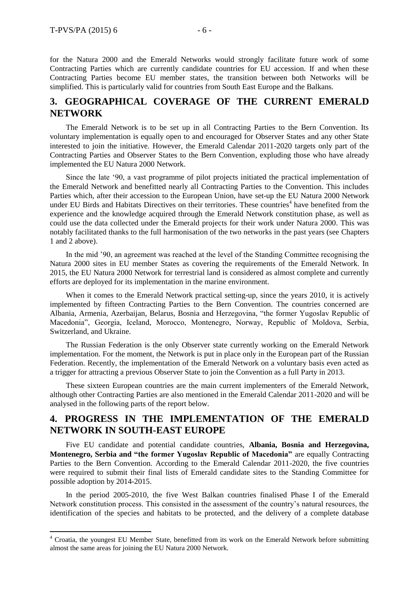$\overline{a}$ 

for the Natura 2000 and the Emerald Networks would strongly facilitate future work of some Contracting Parties which are currently candidate countries for EU accession. If and when these Contracting Parties become EU member states, the transition between both Networks will be simplified. This is particularly valid for countries from South East Europe and the Balkans.

#### <span id="page-5-0"></span>**3. GEOGRAPHICAL COVERAGE OF THE CURRENT EMERALD NETWORK**

The Emerald Network is to be set up in all Contracting Parties to the Bern Convention. Its voluntary implementation is equally open to and encouraged for Observer States and any other State interested to join the initiative. However, the Emerald Calendar 2011-2020 targets only part of the Contracting Parties and Observer States to the Bern Convention, expluding those who have already implemented the EU Natura 2000 Network.

Since the late '90, a vast programme of pilot projects initiated the practical implementation of the Emerald Network and benefitted nearly all Contracting Parties to the Convention. This includes Parties which, after their accession to the European Union, have set-up the EU Natura 2000 Network under EU Birds and Habitats Directives on their territories. These countries<sup>4</sup> have benefited from the experience and the knowledge acquired through the Emerald Network constitution phase, as well as could use the data collected under the Emerald projects for their work under Natura 2000. This was notably facilitated thanks to the full harmonisation of the two networks in the past years (see Chapters 1 and 2 above).

In the mid '90, an agreement was reached at the level of the Standing Committee recognising the Natura 2000 sites in EU member States as covering the requirements of the Emerald Network. In 2015, the EU Natura 2000 Network for terrestrial land is considered as almost complete and currently efforts are deployed for its implementation in the marine environment.

When it comes to the Emerald Network practical setting-up, since the years 2010, it is actively implemented by fifteen Contracting Parties to the Bern Convention. The countries concerned are Albania, Armenia, Azerbaijan, Belarus, Bosnia and Herzegovina, "the former Yugoslav Republic of Macedonia", Georgia, Iceland, Morocco, Montenegro, Norway, Republic of Moldova, Serbia, Switzerland, and Ukraine.

The Russian Federation is the only Observer state currently working on the Emerald Network implementation. For the moment, the Network is put in place only in the European part of the Russian Federation. Recently, the implementation of the Emerald Network on a voluntary basis even acted as a trigger for attracting a previous Observer State to join the Convention as a full Party in 2013.

These sixteen European countries are the main current implementers of the Emerald Network, although other Contracting Parties are also mentioned in the Emerald Calendar 2011-2020 and will be analysed in the following parts of the report below.

## <span id="page-5-1"></span>**4. PROGRESS IN THE IMPLEMENTATION OF THE EMERALD NETWORK IN SOUTH-EAST EUROPE**

Five EU candidate and potential candidate countries, **Albania, Bosnia and Herzegovina, Montenegro, Serbia and "the former Yugoslav Republic of Macedonia"** are equally Contracting Parties to the Bern Convention. According to the Emerald Calendar 2011-2020, the five countries were required to submit their final lists of Emerald candidate sites to the Standing Committee for possible adoption by 2014-2015.

In the period 2005-2010, the five West Balkan countries finalised Phase I of the Emerald Network constitution process. This consisted in the assessment of the country's natural resources, the identification of the species and habitats to be protected, and the delivery of a complete database

<sup>4</sup> Croatia, the youngest EU Member State, benefitted from its work on the Emerald Network before submitting almost the same areas for joining the EU Natura 2000 Network.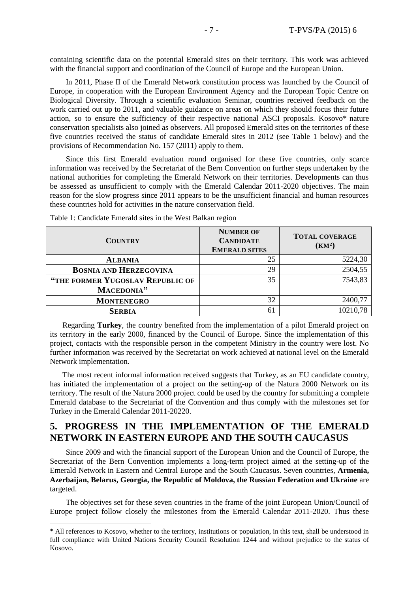containing scientific data on the potential Emerald sites on their territory. This work was achieved with the financial support and coordination of the Council of Europe and the European Union.

In 2011, Phase II of the Emerald Network constitution process was launched by the Council of Europe, in cooperation with the European Environment Agency and the European Topic Centre on Biological Diversity. Through a scientific evaluation Seminar, countries received feedback on the work carried out up to 2011, and valuable guidance on areas on which they should focus their future action, so to ensure the sufficiency of their respective national ASCI proposals. Kosovo\* nature conservation specialists also joined as observers. All proposed Emerald sites on the territories of these five countries received the status of candidate Emerald sites in 2012 (see Table 1 below) and the provisions of Recommendation No. 157 (2011) apply to them.

Since this first Emerald evaluation round organised for these five countries, only scarce information was received by the Secretariat of the Bern Convention on further steps undertaken by the national authorities for completing the Emerald Network on their territories. Developments can thus be assessed as unsufficient to comply with the Emerald Calendar 2011-2020 objectives. The main reason for the slow progress since 2011 appears to be the unsufficient financial and human resources these countries hold for activities in the nature conservation field.

| <b>COUNTRY</b>                   | <b>NUMBER OF</b><br><b>CANDIDATE</b><br><b>EMERALD SITES</b> | <b>TOTAL COVERAGE</b><br>(KM <sup>2</sup> ) |
|----------------------------------|--------------------------------------------------------------|---------------------------------------------|
| <b>ALBANIA</b>                   | 25                                                           | 5224,30                                     |
| <b>BOSNIA AND HERZEGOVINA</b>    | 29                                                           | 2504,55                                     |
| "THE FORMER YUGOSLAV REPUBLIC OF | 35                                                           | 7543,83                                     |
| MACEDONIA"                       |                                                              |                                             |
| <b>MONTENEGRO</b>                | 32                                                           | 2400,77                                     |
| <b>SERBIA</b>                    | 61                                                           | 10210,78                                    |

Table 1: Candidate Emerald sites in the West Balkan region

 $\overline{a}$ 

Regarding **Turkey**, the country benefited from the implementation of a pilot Emerald project on its territory in the early 2000, financed by the Council of Europe. Since the implementation of this project, contacts with the responsible person in the competent Ministry in the country were lost. No further information was received by the Secretariat on work achieved at national level on the Emerald Network implementation.

The most recent informal information received suggests that Turkey, as an EU candidate country, has initiated the implementation of a project on the setting-up of the Natura 2000 Network on its territory. The result of the Natura 2000 project could be used by the country for submitting a complete Emerald database to the Secretariat of the Convention and thus comply with the milestones set for Turkey in the Emerald Calendar 2011-20220.

### <span id="page-6-0"></span>**5. PROGRESS IN THE IMPLEMENTATION OF THE EMERALD NETWORK IN EASTERN EUROPE AND THE SOUTH CAUCASUS**

Since 2009 and with the financial support of the European Union and the Council of Europe, the Secretariat of the Bern Convention implements a long-term project aimed at the setting-up of the Emerald Network in Eastern and Central Europe and the South Caucasus. Seven countries, **Armenia, Azerbaijan, Belarus, Georgia, the Republic of Moldova, the Russian Federation and Ukraine** are targeted.

The objectives set for these seven countries in the frame of the joint European Union/Council of Europe project follow closely the milestones from the Emerald Calendar 2011-2020. Thus these

<sup>\*</sup> All references to Kosovo, whether to the territory, institutions or population, in this text, shall be understood in full compliance with United Nations Security Council Resolution 1244 and without prejudice to the status of Kosovo.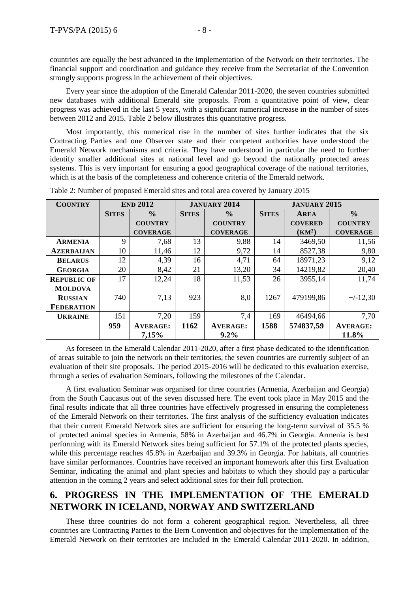countries are equally the best advanced in the implementation of the Network on their territories. The financial support and coordination and guidance they receive from the Secretariat of the Convention strongly supports progress in the achievement of their objectives.

Every year since the adoption of the Emerald Calendar 2011-2020, the seven countries submitted new databases with additional Emerald site proposals. From a quantitative point of view, clear progress was achieved in the last 5 years, with a significant numerical increase in the number of sites between 2012 and 2015. Table 2 below illustrates this quantitative progress.

Most importantly, this numerical rise in the number of sites further indicates that the six Contracting Parties and one Observer state and their competent authorities have understood the Emerald Network mechanisms and criteria. They have understood in particular the need to further identify smaller additional sites at national level and go beyond the nationally protected areas systems. This is very important for ensuring a good geographical coverage of the national territories, which is at the basis of the completeness and coherence criteria of the Emerald network.

| <b>COUNTRY</b>     |              | <b>END 2012</b> |              | <b>JANUARY 2014</b> |              | <b>JANUARY 2015</b> |                 |
|--------------------|--------------|-----------------|--------------|---------------------|--------------|---------------------|-----------------|
|                    | <b>SITES</b> | $\frac{0}{0}$   | <b>SITES</b> | $\frac{0}{0}$       | <b>SITES</b> | <b>AREA</b>         | $\frac{0}{0}$   |
|                    |              | <b>COUNTRY</b>  |              | <b>COUNTRY</b>      |              | <b>COVERED</b>      | <b>COUNTRY</b>  |
|                    |              | <b>COVERAGE</b> |              | <b>COVERAGE</b>     |              | (KM <sup>2</sup> )  | <b>COVERAGE</b> |
| <b>ARMENIA</b>     | 9            | 7,68            | 13           | 9,88                | 14           | 3469,50             | 11,56           |
| <b>AZERBALJAN</b>  | 10           | 11,46           | 12           | 9,72                | 14           | 8527,38             | 9,80            |
| <b>BELARUS</b>     | 12           | 4,39            | 16           | 4,71                | 64           | 18971,23            | 9,12            |
| <b>GEORGIA</b>     | 20           | 8,42            | 21           | 13,20               | 34           | 14219,82            | 20,40           |
| <b>REPUBLIC OF</b> | 17           | 12,24           | 18           | 11,53               | 26           | 3955,14             | 11,74           |
| <b>MOLDOVA</b>     |              |                 |              |                     |              |                     |                 |
| <b>RUSSIAN</b>     | 740          | 7,13            | 923          | 8,0                 | 1267         | 479199,86           | $+/-12,30$      |
| <b>FEDERATION</b>  |              |                 |              |                     |              |                     |                 |
| <b>UKRAINE</b>     | 151          | 7.20            | 159          | 7.4                 | 169          | 46494,66            | 7.70            |
|                    | 959          | <b>AVERAGE:</b> | 1162         | <b>AVERAGE:</b>     | 1588         | 574837,59           | <b>AVERAGE:</b> |
|                    |              | 7,15%           |              | $9.2\%$             |              |                     | 11.8%           |

Table 2: Number of proposed Emerald sites and total area covered by January 2015

As foreseen in the Emerald Calendar 2011-2020, after a first phase dedicated to the identification of areas suitable to join the network on their territories, the seven countries are currently subject of an evaluation of their site proposals. The period 2015-2016 will be dedicated to this evaluation exercise, through a series of evaluation Seminars, following the milestones of the Calendar.

A first evaluation Seminar was organised for three countries (Armenia, Azerbaijan and Georgia) from the South Caucasus out of the seven discussed here. The event took place in May 2015 and the final results indicate that all three countries have effectively progressed in ensuring the completeness of the Emerald Network on their territories. The first analysis of the sufficiency evaluation indicates that their current Emerald Network sites are sufficient for ensuring the long-term survival of 35.5 % of protected animal species in Armenia, 58% in Azerbaijan and 46.7% in Georgia. Armenia is best performing with its Emerald Network sites being sufficient for 57.1% of the protected plants species, while this percentage reaches 45.8% in Azerbaijan and 39.3% in Georgia. For habitats, all countries have similar performances. Countries have received an important homework after this first Evaluation Seminar, indicating the animal and plant species and habitats to which they should pay a particular attention in the coming 2 years and select additional sites for their full protection.

## <span id="page-7-0"></span>**6. PROGRESS IN THE IMPLEMENTATION OF THE EMERALD NETWORK IN ICELAND, NORWAY AND SWITZERLAND**

These three countries do not form a coherent geographical region. Nevertheless, all three countries are Contracting Parties to the Bern Convention and objectives for the implementation of the Emerald Network on their territories are included in the Emerald Calendar 2011-2020. In addition,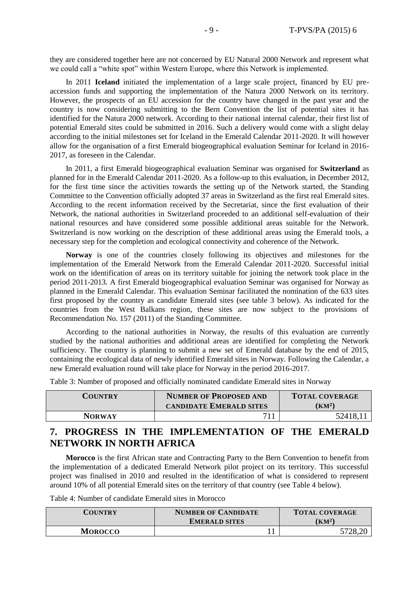they are considered together here are not concerned by EU Natural 2000 Network and represent what we could call a "white spot" within Western Europe, where this Network is implemented.

In 2011 **Iceland** initiated the implementation of a large scale project, financed by EU preaccession funds and supporting the implementation of the Natura 2000 Network on its territory. However, the prospects of an EU accession for the country have changed in the past year and the country is now considering submitting to the Bern Convention the list of potential sites it has identified for the Natura 2000 network. According to their national internal calendar, their first list of potential Emerald sites could be submitted in 2016. Such a delivery would come with a slight delay according to the initial milestones set for Iceland in the Emerald Calendar 2011-2020. It will however allow for the organisation of a first Emerald biogeographical evaluation Seminar for Iceland in 2016- 2017, as foreseen in the Calendar.

In 2011, a first Emerald biogeographical evaluation Seminar was organised for **Switzerland** as planned for in the Emerald Calendar 2011-2020. As a follow-up to this evaluation, in December 2012, for the first time since the activities towards the setting up of the Network started, the Standing Committee to the Convention officially adopted 37 areas in Switzerland as the first real Emerald sites. According to the recent information received by the Secretariat, since the first evaluation of their Network, the national authorities in Switzerland proceeded to an additional self-evaluation of their national resources and have considered some possible additional areas suitable for the Network. Switzerland is now working on the description of these additional areas using the Emerald tools, a necessary step for the completion and ecological connectivity and coherence of the Network.

**Norway** is one of the countries closely following its objectives and milestones for the implementation of the Emerald Network from the Emerald Calendar 2011-2020. Successful initial work on the identification of areas on its territory suitable for joining the network took place in the period 2011-2013. A first Emerald biogeographical evaluation Seminar was organised for Norway as planned in the Emerald Calendar. This evaluation Seminar facilitated the nomination of the 633 sites first proposed by the country as candidate Emerald sites (see table 3 below). As indicated for the countries from the West Balkans region, these sites are now subject to the provisions of Recommendation No. 157 (2011) of the Standing Committee.

According to the national authorities in Norway, the results of this evaluation are currently studied by the national authorities and additional areas are identified for completing the Network sufficiency. The country is planning to submit a new set of Emerald database by the end of 2015, containing the ecological data of newly identified Emerald sites in Norway. Following the Calendar, a new Emerald evaluation round will take place for Norway in the period 2016-2017.

Table 3: Number of proposed and officially nominated candidate Emerald sites in Norway

| <b>COUNTRY</b> | <b>NUMBER OF PROPOSED AND</b><br><b>CANDIDATE EMERALD SITES</b> | <b>TOTAL COVERAGE</b><br>(KM <sup>2</sup> ) |
|----------------|-----------------------------------------------------------------|---------------------------------------------|
| <b>NORWAY</b>  | 711                                                             | 52418,11                                    |

## <span id="page-8-0"></span>**7. PROGRESS IN THE IMPLEMENTATION OF THE EMERALD NETWORK IN NORTH AFRICA**

**Morocco** is the first African state and Contracting Party to the Bern Convention to benefit from the implementation of a dedicated Emerald Network pilot project on its territory. This successful project was finalised in 2010 and resulted in the identification of what is considered to represent around 10% of all potential Emerald sites on the territory of that country (see Table 4 below).

Table 4: Number of candidate Emerald sites in Morocco

| COUNTRY        | <b>NUMBER OF CANDIDATE</b> | <b>TOTAL COVERAGE</b> |  |
|----------------|----------------------------|-----------------------|--|
|                | <b>EMERALD SITES</b>       | $\rm (KM^2)$          |  |
| <b>MOROCCO</b> |                            | 5728,20               |  |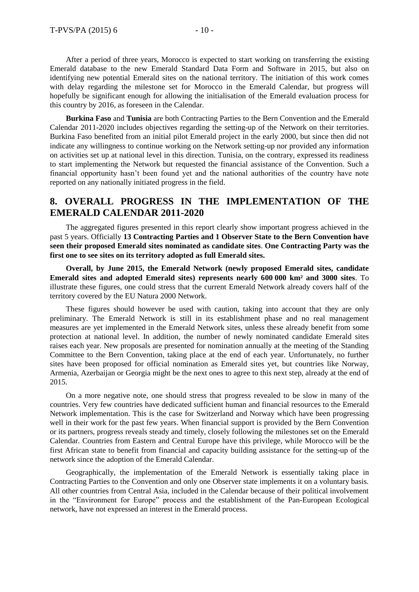After a period of three years, Morocco is expected to start working on transferring the existing Emerald database to the new Emerald Standard Data Form and Software in 2015, but also on identifying new potential Emerald sites on the national territory. The initiation of this work comes with delay regarding the milestone set for Morocco in the Emerald Calendar, but progress will hopefully be significant enough for allowing the initialisation of the Emerald evaluation process for this country by 2016, as foreseen in the Calendar.

**Burkina Faso** and **Tunisia** are both Contracting Parties to the Bern Convention and the Emerald Calendar 2011-2020 includes objectives regarding the setting-up of the Network on their territories. Burkina Faso benefited from an initial pilot Emerald project in the early 2000, but since then did not indicate any willingness to continue working on the Network setting-up nor provided any information on activities set up at national level in this direction. Tunisia, on the contrary, expressed its readiness to start implementing the Network but requested the financial assistance of the Convention. Such a financial opportunity hasn't been found yet and the national authorities of the country have note reported on any nationally initiated progress in the field.

## <span id="page-9-0"></span>**8. OVERALL PROGRESS IN THE IMPLEMENTATION OF THE EMERALD CALENDAR 2011-2020**

The aggregated figures presented in this report clearly show important progress achieved in the past 5 years. Officially **13 Contracting Parties and 1 Observer State to the Bern Convention have seen their proposed Emerald sites nominated as candidate sites**. **One Contracting Party was the first one to see sites on its territory adopted as full Emerald sites.**

**Overall, by June 2015, the Emerald Network (newly proposed Emerald sites, candidate Emerald sites and adopted Emerald sites) represents nearly 600 000 km² and 3000 sites**. To illustrate these figures, one could stress that the current Emerald Network already covers half of the territory covered by the EU Natura 2000 Network.

These figures should however be used with caution, taking into account that they are only preliminary. The Emerald Network is still in its establishment phase and no real management measures are yet implemented in the Emerald Network sites, unless these already benefit from some protection at national level. In addition, the number of newly nominated candidate Emerald sites raises each year. New proposals are presented for nomination annually at the meeting of the Standing Committee to the Bern Convention, taking place at the end of each year. Unfortunately, no further sites have been proposed for official nomination as Emerald sites yet, but countries like Norway, Armenia, Azerbaijan or Georgia might be the next ones to agree to this next step, already at the end of 2015.

On a more negative note, one should stress that progress revealed to be slow in many of the countries. Very few countries have dedicated sufficient human and financial resources to the Emerald Network implementation. This is the case for Switzerland and Norway which have been progressing well in their work for the past few years. When financial support is provided by the Bern Convention or its partners, progress reveals steady and timely, closely following the milestones set on the Emerald Calendar. Countries from Eastern and Central Europe have this privilege, while Morocco will be the first African state to benefit from financial and capacity building assistance for the setting-up of the network since the adoption of the Emerald Calendar.

Geographically, the implementation of the Emerald Network is essentially taking place in Contracting Parties to the Convention and only one Observer state implements it on a voluntary basis. All other countries from Central Asia, included in the Calendar because of their political involvement in the "Environment for Europe" process and the establishment of the Pan-European Ecological network, have not expressed an interest in the Emerald process.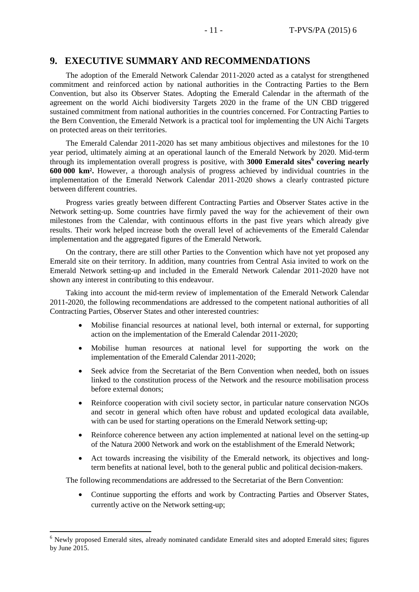#### <span id="page-10-0"></span>**9. EXECUTIVE SUMMARY AND RECOMMENDATIONS**

The adoption of the Emerald Network Calendar 2011-2020 acted as a catalyst for strengthened commitment and reinforced action by national authorities in the Contracting Parties to the Bern Convention, but also its Observer States. Adopting the Emerald Calendar in the aftermath of the agreement on the world Aichi biodiversity Targets 2020 in the frame of the UN CBD triggered sustained commitment from national authorities in the countries concerned. For Contracting Parties to the Bern Convention, the Emerald Network is a practical tool for implementing the UN Aichi Targets on protected areas on their territories.

The Emerald Calendar 2011-2020 has set many ambitious objectives and milestones for the 10 year period, ultimately aiming at an operational launch of the Emerald Network by 2020. Mid-term through its implementation overall progress is positive, with **3000 Emerald sites<sup>6</sup> covering nearly 600 000 km².** However, a thorough analysis of progress achieved by individual countries in the implementation of the Emerald Network Calendar 2011-2020 shows a clearly contrasted picture between different countries.

Progress varies greatly between different Contracting Parties and Observer States active in the Network setting-up. Some countries have firmly paved the way for the achievement of their own milestones from the Calendar, with continuous efforts in the past five years which already give results. Their work helped increase both the overall level of achievements of the Emerald Calendar implementation and the aggregated figures of the Emerald Network.

On the contrary, there are still other Parties to the Convention which have not yet proposed any Emerald site on their territory. In addition, many countries from Central Asia invited to work on the Emerald Network setting-up and included in the Emerald Network Calendar 2011-2020 have not shown any interest in contributing to this endeavour.

Taking into account the mid-term review of implementation of the Emerald Network Calendar 2011-2020, the following recommendations are addressed to the competent national authorities of all Contracting Parties, Observer States and other interested countries:

- Mobilise financial resources at national level, both internal or external, for supporting action on the implementation of the Emerald Calendar 2011-2020;
- Mobilise human resources at national level for supporting the work on the implementation of the Emerald Calendar 2011-2020;
- Seek advice from the Secretariat of the Bern Convention when needed, both on issues linked to the constitution process of the Network and the resource mobilisation process before external donors;
- Reinforce cooperation with civil society sector, in particular nature conservation NGOs and secotr in general which often have robust and updated ecological data available, with can be used for starting operations on the Emerald Network setting-up;
- Reinforce coherence between any action implemented at national level on the setting-up of the Natura 2000 Network and work on the establishment of the Emerald Network;
- Act towards increasing the visibility of the Emerald network, its objectives and longterm benefits at national level, both to the general public and political decision-makers.

The following recommendations are addressed to the Secretariat of the Bern Convention:

 Continue supporting the efforts and work by Contracting Parties and Observer States, currently active on the Network setting-up;

 $\overline{a}$ 

<sup>&</sup>lt;sup>6</sup> Newly proposed Emerald sites, already nominated candidate Emerald sites and adopted Emerald sites; figures by June 2015.